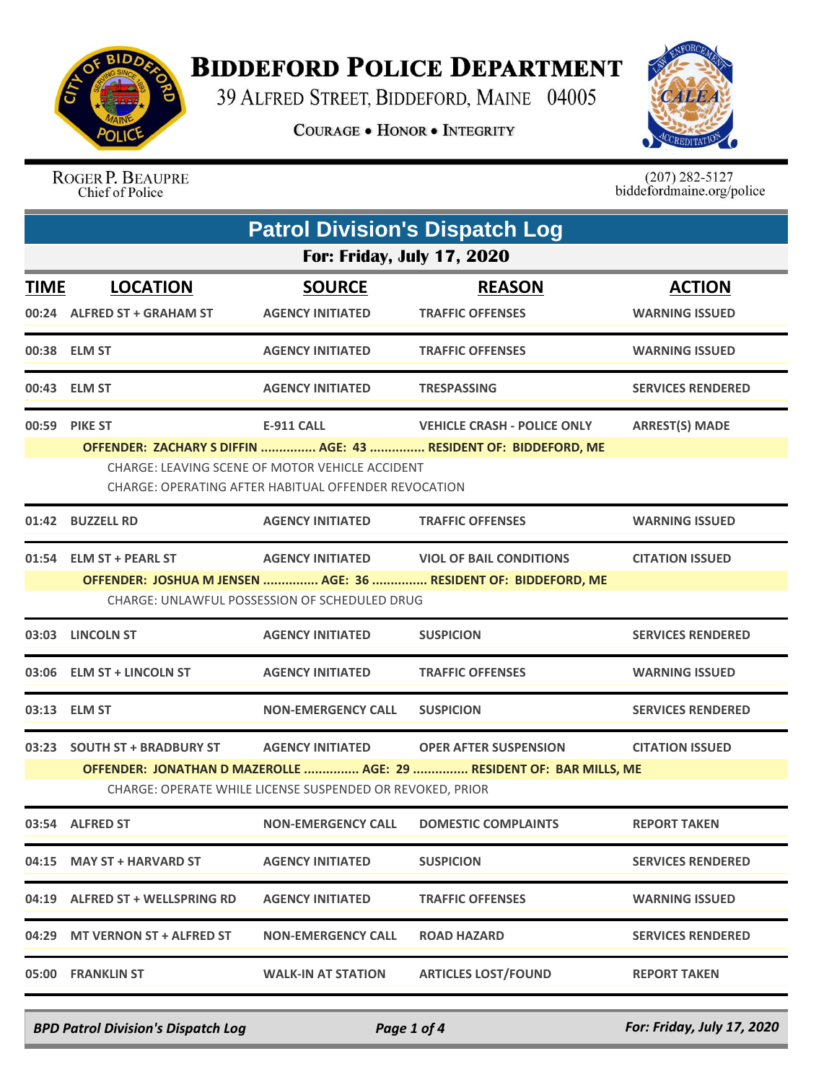

## **BIDDEFORD POLICE DEPARTMENT**

39 ALFRED STREET, BIDDEFORD, MAINE 04005

**COURAGE . HONOR . INTEGRITY** 



ROGER P. BEAUPRE Chief of Police

 $(207)$  282-5127<br>biddefordmaine.org/police

| <b>Patrol Division's Dispatch Log</b> |                                                                                                         |                                                           |                                                                     |                          |  |  |  |
|---------------------------------------|---------------------------------------------------------------------------------------------------------|-----------------------------------------------------------|---------------------------------------------------------------------|--------------------------|--|--|--|
| <b>For: Friday, July 17, 2020</b>     |                                                                                                         |                                                           |                                                                     |                          |  |  |  |
| <b>TIME</b>                           | <b>LOCATION</b>                                                                                         | <b>SOURCE</b>                                             | <b>REASON</b>                                                       | <b>ACTION</b>            |  |  |  |
|                                       | 00:24 ALFRED ST + GRAHAM ST                                                                             | <b>AGENCY INITIATED</b>                                   | <b>TRAFFIC OFFENSES</b>                                             | <b>WARNING ISSUED</b>    |  |  |  |
|                                       | 00:38 ELM ST                                                                                            | <b>AGENCY INITIATED</b>                                   | <b>TRAFFIC OFFENSES</b>                                             | <b>WARNING ISSUED</b>    |  |  |  |
|                                       | 00:43 ELM ST                                                                                            | <b>AGENCY INITIATED</b>                                   | <b>TRESPASSING</b>                                                  | <b>SERVICES RENDERED</b> |  |  |  |
|                                       | 00:59 PIKE ST                                                                                           | <b>E-911 CALL</b>                                         | <b>VEHICLE CRASH - POLICE ONLY</b>                                  | <b>ARREST(S) MADE</b>    |  |  |  |
|                                       |                                                                                                         |                                                           | OFFENDER: ZACHARY S DIFFIN  AGE: 43  RESIDENT OF: BIDDEFORD, ME     |                          |  |  |  |
|                                       | CHARGE: LEAVING SCENE OF MOTOR VEHICLE ACCIDENT<br>CHARGE: OPERATING AFTER HABITUAL OFFENDER REVOCATION |                                                           |                                                                     |                          |  |  |  |
|                                       | 01:42 BUZZELL RD                                                                                        | <b>AGENCY INITIATED</b>                                   | <b>TRAFFIC OFFENSES</b>                                             | <b>WARNING ISSUED</b>    |  |  |  |
|                                       | 01:54 ELM ST + PEARL ST                                                                                 | <b>AGENCY INITIATED</b>                                   | <b>VIOL OF BAIL CONDITIONS</b>                                      | <b>CITATION ISSUED</b>   |  |  |  |
|                                       |                                                                                                         |                                                           | OFFENDER: JOSHUA M JENSEN  AGE: 36  RESIDENT OF: BIDDEFORD, ME      |                          |  |  |  |
|                                       | CHARGE: UNLAWFUL POSSESSION OF SCHEDULED DRUG                                                           |                                                           |                                                                     |                          |  |  |  |
|                                       | 03:03 LINCOLN ST                                                                                        | <b>AGENCY INITIATED</b>                                   | <b>SUSPICION</b>                                                    | <b>SERVICES RENDERED</b> |  |  |  |
|                                       | 03:06 ELM ST + LINCOLN ST                                                                               | <b>AGENCY INITIATED</b>                                   | <b>TRAFFIC OFFENSES</b>                                             | <b>WARNING ISSUED</b>    |  |  |  |
|                                       | 03:13 ELM ST                                                                                            | <b>NON-EMERGENCY CALL</b>                                 | <b>SUSPICION</b>                                                    | <b>SERVICES RENDERED</b> |  |  |  |
|                                       | 03:23 SOUTH ST + BRADBURY ST                                                                            | <b>AGENCY INITIATED</b>                                   | <b>OPER AFTER SUSPENSION</b>                                        | <b>CITATION ISSUED</b>   |  |  |  |
|                                       |                                                                                                         |                                                           | OFFENDER: JONATHAN D MAZEROLLE  AGE: 29  RESIDENT OF: BAR MILLS, ME |                          |  |  |  |
|                                       |                                                                                                         | CHARGE: OPERATE WHILE LICENSE SUSPENDED OR REVOKED, PRIOR |                                                                     |                          |  |  |  |
|                                       | 03:54 ALFRED ST                                                                                         | <b>NON-EMERGENCY CALL</b>                                 | <b>DOMESTIC COMPLAINTS</b>                                          | <b>REPORT TAKEN</b>      |  |  |  |
|                                       | 04:15 MAY ST + HARVARD ST                                                                               | <b>AGENCY INITIATED</b>                                   | <b>SUSPICION</b>                                                    | <b>SERVICES RENDERED</b> |  |  |  |
|                                       | 04:19 ALFRED ST + WELLSPRING RD                                                                         | <b>AGENCY INITIATED</b>                                   | <b>TRAFFIC OFFENSES</b>                                             | <b>WARNING ISSUED</b>    |  |  |  |
|                                       | 04:29 MT VERNON ST + ALFRED ST                                                                          | <b>NON-EMERGENCY CALL</b>                                 | <b>ROAD HAZARD</b>                                                  | <b>SERVICES RENDERED</b> |  |  |  |
|                                       | 05:00 FRANKLIN ST                                                                                       | <b>WALK-IN AT STATION</b>                                 | <b>ARTICLES LOST/FOUND</b>                                          | <b>REPORT TAKEN</b>      |  |  |  |

*BPD Patrol Division's Dispatch Log Page 1 of 4 For: Friday, July 17, 2020*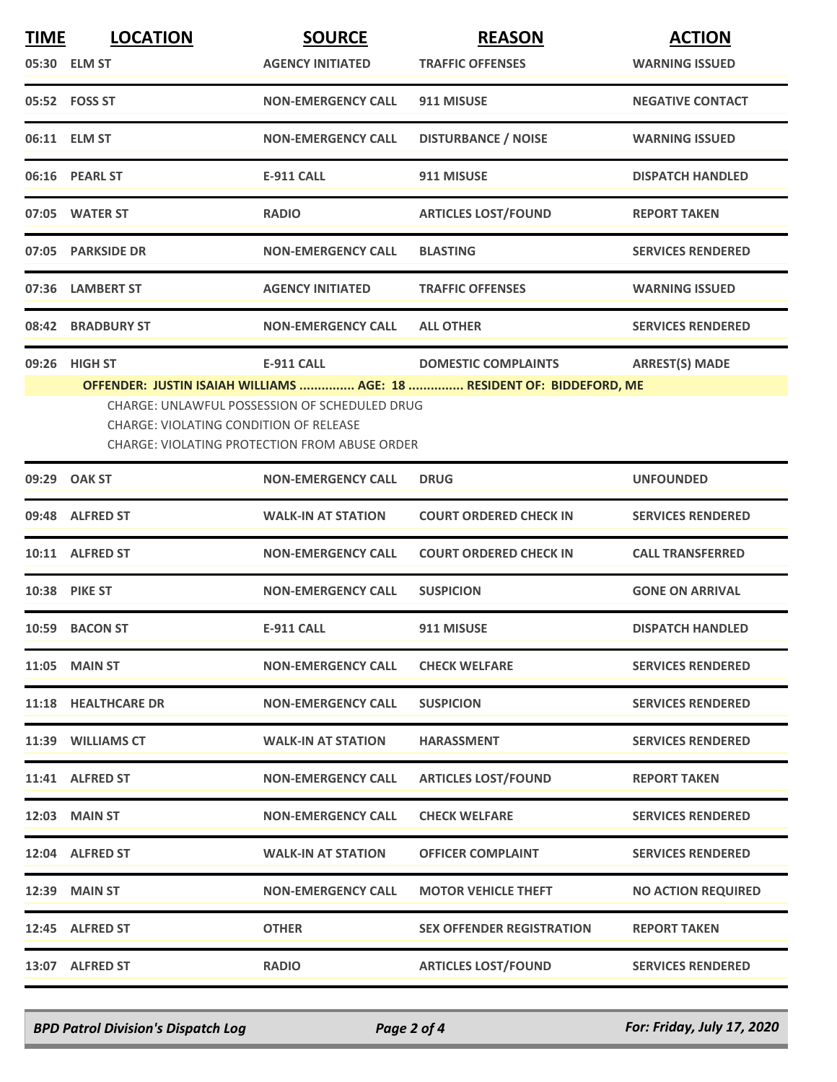| <b>TIME</b> | <b>LOCATION</b>                        | <b>SOURCE</b>                                                                                         | <b>REASON</b>                    | <b>ACTION</b>             |
|-------------|----------------------------------------|-------------------------------------------------------------------------------------------------------|----------------------------------|---------------------------|
|             | 05:30 ELM ST                           | <b>AGENCY INITIATED</b>                                                                               | <b>TRAFFIC OFFENSES</b>          | <b>WARNING ISSUED</b>     |
|             | 05:52 FOSS ST                          | <b>NON-EMERGENCY CALL</b>                                                                             | 911 MISUSE                       | <b>NEGATIVE CONTACT</b>   |
|             | 06:11 ELM ST                           | <b>NON-EMERGENCY CALL</b>                                                                             | <b>DISTURBANCE / NOISE</b>       | <b>WARNING ISSUED</b>     |
|             | 06:16 PEARL ST                         | <b>E-911 CALL</b>                                                                                     | 911 MISUSE                       | <b>DISPATCH HANDLED</b>   |
|             | 07:05 WATER ST                         | <b>RADIO</b>                                                                                          | <b>ARTICLES LOST/FOUND</b>       | <b>REPORT TAKEN</b>       |
|             | 07:05 PARKSIDE DR                      | <b>NON-EMERGENCY CALL</b>                                                                             | <b>BLASTING</b>                  | <b>SERVICES RENDERED</b>  |
|             | 07:36 LAMBERT ST                       | <b>AGENCY INITIATED</b>                                                                               | <b>TRAFFIC OFFENSES</b>          | <b>WARNING ISSUED</b>     |
|             | 08:42 BRADBURY ST                      | <b>NON-EMERGENCY CALL</b>                                                                             | <b>ALL OTHER</b>                 | <b>SERVICES RENDERED</b>  |
|             | 09:26 HIGH ST                          | E-911 CALL                                                                                            | <b>DOMESTIC COMPLAINTS</b>       | <b>ARREST(S) MADE</b>     |
|             | CHARGE: VIOLATING CONDITION OF RELEASE | CHARGE: UNLAWFUL POSSESSION OF SCHEDULED DRUG<br><b>CHARGE: VIOLATING PROTECTION FROM ABUSE ORDER</b> |                                  |                           |
|             | 09:29 OAK ST                           | <b>NON-EMERGENCY CALL</b>                                                                             | <b>DRUG</b>                      | <b>UNFOUNDED</b>          |
|             | 09:48 ALFRED ST                        | <b>WALK-IN AT STATION</b>                                                                             | <b>COURT ORDERED CHECK IN</b>    | <b>SERVICES RENDERED</b>  |
|             | 10:11 ALFRED ST                        | <b>NON-EMERGENCY CALL</b>                                                                             | <b>COURT ORDERED CHECK IN</b>    | <b>CALL TRANSFERRED</b>   |
|             | 10:38 PIKE ST                          | <b>NON-EMERGENCY CALL</b>                                                                             | <b>SUSPICION</b>                 | <b>GONE ON ARRIVAL</b>    |
|             | 10:59 BACON ST                         | <b>E-911 CALL</b>                                                                                     | 911 MISUSE                       | <b>DISPATCH HANDLED</b>   |
|             | <b>11:05 MAIN ST</b>                   | <b>NON-EMERGENCY CALL</b>                                                                             | <b>CHECK WELFARE</b>             | <b>SERVICES RENDERED</b>  |
|             | 11:18 HEALTHCARE DR                    | <b>NON-EMERGENCY CALL</b>                                                                             | <b>SUSPICION</b>                 | <b>SERVICES RENDERED</b>  |
|             | 11:39 WILLIAMS CT                      | <b>WALK-IN AT STATION</b>                                                                             | <b>HARASSMENT</b>                | <b>SERVICES RENDERED</b>  |
|             | 11:41 ALFRED ST                        | <b>NON-EMERGENCY CALL</b>                                                                             | <b>ARTICLES LOST/FOUND</b>       | <b>REPORT TAKEN</b>       |
|             | <b>12:03 MAIN ST</b>                   | <b>NON-EMERGENCY CALL</b>                                                                             | <b>CHECK WELFARE</b>             | <b>SERVICES RENDERED</b>  |
|             | 12:04 ALFRED ST                        | <b>WALK-IN AT STATION</b>                                                                             | <b>OFFICER COMPLAINT</b>         | <b>SERVICES RENDERED</b>  |
|             | <b>12:39 MAIN ST</b>                   | <b>NON-EMERGENCY CALL</b>                                                                             | <b>MOTOR VEHICLE THEFT</b>       | <b>NO ACTION REQUIRED</b> |
|             | 12:45 ALFRED ST                        | <b>OTHER</b>                                                                                          | <b>SEX OFFENDER REGISTRATION</b> | <b>REPORT TAKEN</b>       |
|             | 13:07 ALFRED ST                        | <b>RADIO</b>                                                                                          | <b>ARTICLES LOST/FOUND</b>       | <b>SERVICES RENDERED</b>  |

*BPD Patrol Division's Dispatch Log Page 2 of 4 For: Friday, July 17, 2020*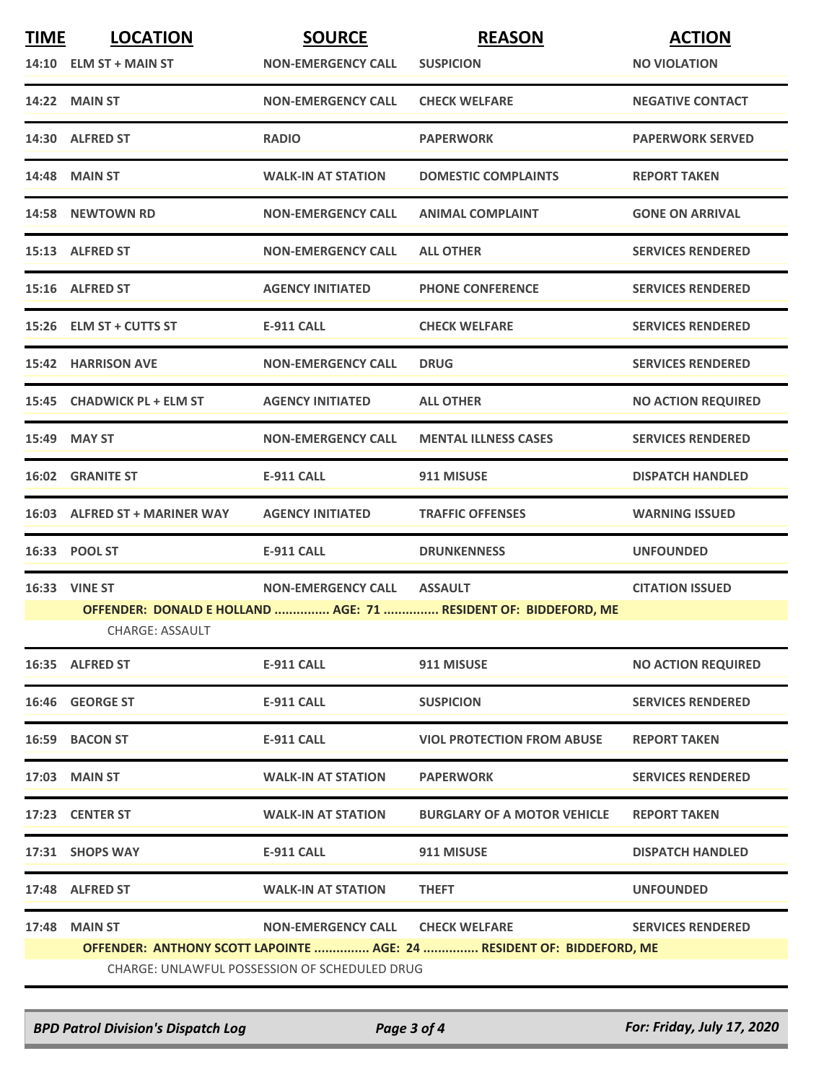| <b>TIME</b> | <b>LOCATION</b>                               | <b>SOURCE</b>              | <b>REASON</b>                                                         | <b>ACTION</b>             |  |  |
|-------------|-----------------------------------------------|----------------------------|-----------------------------------------------------------------------|---------------------------|--|--|
|             | $14:10$ ELM ST + MAIN ST                      | <b>NON-EMERGENCY CALL</b>  | <b>SUSPICION</b>                                                      | <b>NO VIOLATION</b>       |  |  |
|             | 14:22 MAIN ST                                 | <b>NON-EMERGENCY CALL</b>  | <b>CHECK WELFARE</b>                                                  | <b>NEGATIVE CONTACT</b>   |  |  |
|             | 14:30 ALFRED ST                               | <b>RADIO</b>               | <b>PAPERWORK</b>                                                      | <b>PAPERWORK SERVED</b>   |  |  |
|             | <b>14:48 MAIN ST</b>                          | <b>WALK-IN AT STATION</b>  | <b>DOMESTIC COMPLAINTS</b>                                            | <b>REPORT TAKEN</b>       |  |  |
|             | 14:58 NEWTOWN RD                              | <b>NON-EMERGENCY CALL</b>  | <b>ANIMAL COMPLAINT</b>                                               | <b>GONE ON ARRIVAL</b>    |  |  |
|             | 15:13 ALFRED ST                               | <b>NON-EMERGENCY CALL</b>  | <b>ALL OTHER</b>                                                      | <b>SERVICES RENDERED</b>  |  |  |
|             | 15:16 ALFRED ST                               | <b>AGENCY INITIATED</b>    | <b>PHONE CONFERENCE</b>                                               | <b>SERVICES RENDERED</b>  |  |  |
|             | 15:26 ELM ST + CUTTS ST                       | <b>E-911 CALL</b>          | <b>CHECK WELFARE</b>                                                  | <b>SERVICES RENDERED</b>  |  |  |
|             | <b>15:42 HARRISON AVE</b>                     | <b>NON-EMERGENCY CALL</b>  | <b>DRUG</b>                                                           | <b>SERVICES RENDERED</b>  |  |  |
|             | 15:45 CHADWICK PL + ELM ST                    | <b>AGENCY INITIATED</b>    | <b>ALL OTHER</b>                                                      | <b>NO ACTION REQUIRED</b> |  |  |
|             | 15:49 MAY ST                                  | <b>NON-EMERGENCY CALL</b>  | <b>MENTAL ILLNESS CASES</b>                                           | <b>SERVICES RENDERED</b>  |  |  |
|             | <b>16:02 GRANITE ST</b>                       | <b>E-911 CALL</b>          | 911 MISUSE                                                            | <b>DISPATCH HANDLED</b>   |  |  |
|             | 16:03 ALFRED ST + MARINER WAY                 | <b>AGENCY INITIATED</b>    | <b>TRAFFIC OFFENSES</b>                                               | <b>WARNING ISSUED</b>     |  |  |
|             | 16:33 POOL ST                                 | <b>E-911 CALL</b>          | <b>DRUNKENNESS</b>                                                    | <b>UNFOUNDED</b>          |  |  |
|             | 16:33 VINE ST                                 | NON-EMERGENCY CALL ASSAULT |                                                                       | <b>CITATION ISSUED</b>    |  |  |
|             | <b>CHARGE: ASSAULT</b>                        |                            | OFFENDER: DONALD E HOLLAND  AGE: 71  RESIDENT OF: BIDDEFORD, ME       |                           |  |  |
|             | 16:35 ALFRED ST                               | E-911 CALL                 | 911 MISUSE                                                            | <b>NO ACTION REQUIRED</b> |  |  |
|             | 16:46 GEORGE ST                               | E-911 CALL                 | <b>SUSPICION</b>                                                      | <b>SERVICES RENDERED</b>  |  |  |
|             | 16:59 BACON ST                                | <b>E-911 CALL</b>          | <b>VIOL PROTECTION FROM ABUSE</b>                                     | <b>REPORT TAKEN</b>       |  |  |
|             | 17:03 MAIN ST                                 | <b>WALK-IN AT STATION</b>  | <b>PAPERWORK</b>                                                      | <b>SERVICES RENDERED</b>  |  |  |
|             | 17:23 CENTER ST                               | <b>WALK-IN AT STATION</b>  | <b>BURGLARY OF A MOTOR VEHICLE</b>                                    | <b>REPORT TAKEN</b>       |  |  |
|             | 17:31 SHOPS WAY                               | E-911 CALL                 | 911 MISUSE                                                            | <b>DISPATCH HANDLED</b>   |  |  |
|             | 17:48 ALFRED ST                               | <b>WALK-IN AT STATION</b>  | <b>THEFT</b>                                                          | <b>UNFOUNDED</b>          |  |  |
|             | 17:48 MAIN ST                                 | <b>NON-EMERGENCY CALL</b>  | <b>CHECK WELFARE</b>                                                  | <b>SERVICES RENDERED</b>  |  |  |
|             |                                               |                            | OFFENDER: ANTHONY SCOTT LAPOINTE  AGE: 24  RESIDENT OF: BIDDEFORD, ME |                           |  |  |
|             | CHARGE: UNLAWFUL POSSESSION OF SCHEDULED DRUG |                            |                                                                       |                           |  |  |

*BPD Patrol Division's Dispatch Log Page 3 of 4 For: Friday, July 17, 2020*